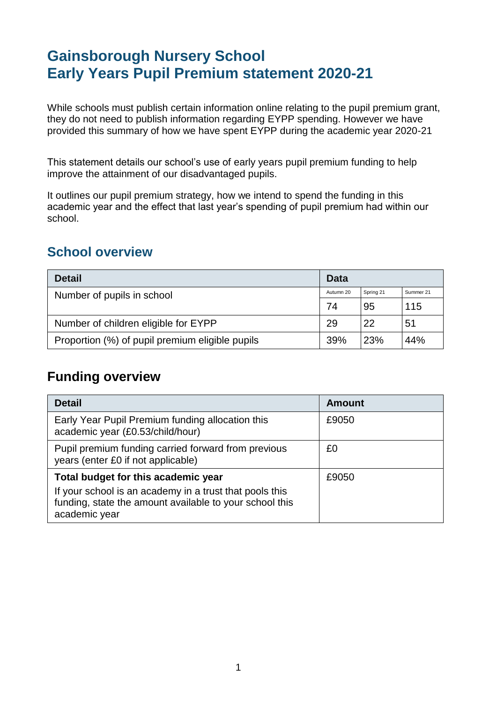# **Gainsborough Nursery School Early Years Pupil Premium statement 2020-21**

While schools must publish certain information online relating to the pupil premium grant, they do not need to publish information regarding EYPP spending. However we have provided this summary of how we have spent EYPP during the academic year 2020-21

This statement details our school's use of early years pupil premium funding to help improve the attainment of our disadvantaged pupils.

It outlines our pupil premium strategy, how we intend to spend the funding in this academic year and the effect that last year's spending of pupil premium had within our school.

### **School overview**

| <b>Detail</b>                                   | <b>Data</b> |           |           |
|-------------------------------------------------|-------------|-----------|-----------|
| Number of pupils in school                      |             | Spring 21 | Summer 21 |
|                                                 |             | 95        | 115       |
| Number of children eligible for EYPP            |             | 22        | 51        |
| Proportion (%) of pupil premium eligible pupils |             | 23%       | 44%       |

## **Funding overview**

| <b>Detail</b>                                                                                                                       | <b>Amount</b> |
|-------------------------------------------------------------------------------------------------------------------------------------|---------------|
| Early Year Pupil Premium funding allocation this<br>academic year (£0.53/child/hour)                                                | £9050         |
| Pupil premium funding carried forward from previous<br>years (enter £0 if not applicable)                                           | £0            |
| Total budget for this academic year                                                                                                 | £9050         |
| If your school is an academy in a trust that pools this<br>funding, state the amount available to your school this<br>academic year |               |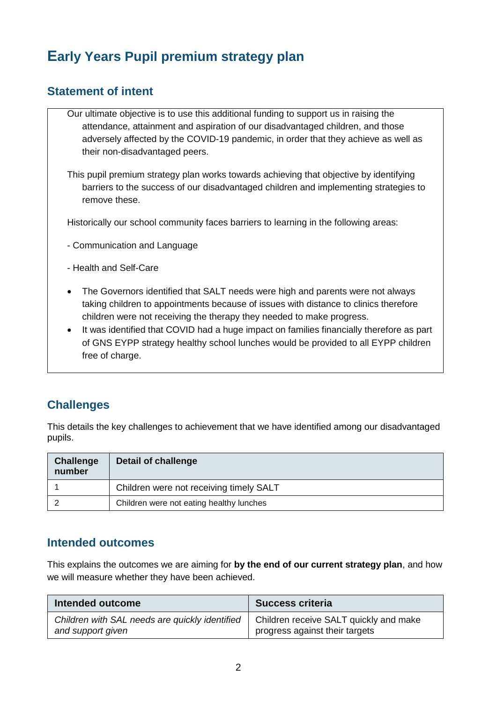# **Early Years Pupil premium strategy plan**

### **Statement of intent**

- Our ultimate objective is to use this additional funding to support us in raising the attendance, attainment and aspiration of our disadvantaged children, and those adversely affected by the COVID-19 pandemic, in order that they achieve as well as their non-disadvantaged peers.
- This pupil premium strategy plan works towards achieving that objective by identifying barriers to the success of our disadvantaged children and implementing strategies to remove these.

Historically our school community faces barriers to learning in the following areas:

- Communication and Language
- Health and Self-Care
- The Governors identified that SALT needs were high and parents were not always taking children to appointments because of issues with distance to clinics therefore children were not receiving the therapy they needed to make progress.
- It was identified that COVID had a huge impact on families financially therefore as part of GNS EYPP strategy healthy school lunches would be provided to all EYPP children free of charge.

### **Challenges**

This details the key challenges to achievement that we have identified among our disadvantaged pupils.

| Challenge<br>number | <b>Detail of challenge</b>               |
|---------------------|------------------------------------------|
|                     | Children were not receiving timely SALT  |
|                     | Children were not eating healthy lunches |

#### **Intended outcomes**

This explains the outcomes we are aiming for **by the end of our current strategy plan**, and how we will measure whether they have been achieved.

| Intended outcome                               | <b>Success criteria</b>                |
|------------------------------------------------|----------------------------------------|
| Children with SAL needs are quickly identified | Children receive SALT quickly and make |
| and support given                              | progress against their targets         |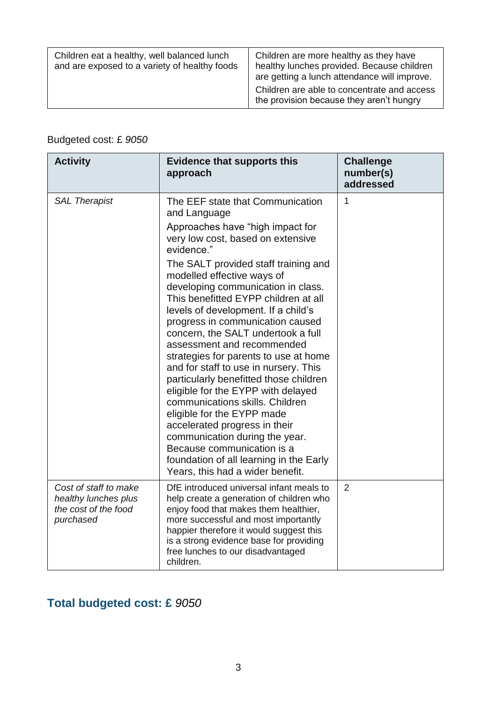| Children eat a healthy, well balanced lunch<br>and are exposed to a variety of healthy foods | Children are more healthy as they have<br>healthy lunches provided. Because children<br>are getting a lunch attendance will improve.<br>Children are able to concentrate and access<br>the provision because they aren't hungry |
|----------------------------------------------------------------------------------------------|---------------------------------------------------------------------------------------------------------------------------------------------------------------------------------------------------------------------------------|
|----------------------------------------------------------------------------------------------|---------------------------------------------------------------------------------------------------------------------------------------------------------------------------------------------------------------------------------|

## Budgeted cost: £ *9050*

| <b>Activity</b>                                                                    | <b>Evidence that supports this</b><br>approach                                                                                                                                                                                                                                                                                                                                                                                                                                                                                                                                                                                                                                                                     | <b>Challenge</b><br>number(s)<br>addressed |
|------------------------------------------------------------------------------------|--------------------------------------------------------------------------------------------------------------------------------------------------------------------------------------------------------------------------------------------------------------------------------------------------------------------------------------------------------------------------------------------------------------------------------------------------------------------------------------------------------------------------------------------------------------------------------------------------------------------------------------------------------------------------------------------------------------------|--------------------------------------------|
| <b>SAL Therapist</b>                                                               | The EEF state that Communication<br>and Language<br>Approaches have "high impact for<br>very low cost, based on extensive<br>evidence."                                                                                                                                                                                                                                                                                                                                                                                                                                                                                                                                                                            | $\mathbf{1}$                               |
|                                                                                    | The SALT provided staff training and<br>modelled effective ways of<br>developing communication in class.<br>This benefitted EYPP children at all<br>levels of development. If a child's<br>progress in communication caused<br>concern, the SALT undertook a full<br>assessment and recommended<br>strategies for parents to use at home<br>and for staff to use in nursery. This<br>particularly benefitted those children<br>eligible for the EYPP with delayed<br>communications skills. Children<br>eligible for the EYPP made<br>accelerated progress in their<br>communication during the year.<br>Because communication is a<br>foundation of all learning in the Early<br>Years, this had a wider benefit. |                                            |
| Cost of staff to make<br>healthy lunches plus<br>the cost of the food<br>purchased | DfE introduced universal infant meals to<br>help create a generation of children who<br>enjoy food that makes them healthier,<br>more successful and most importantly<br>happier therefore it would suggest this<br>is a strong evidence base for providing<br>free lunches to our disadvantaged<br>children.                                                                                                                                                                                                                                                                                                                                                                                                      | $\overline{2}$                             |

# **Total budgeted cost: £** *9050*